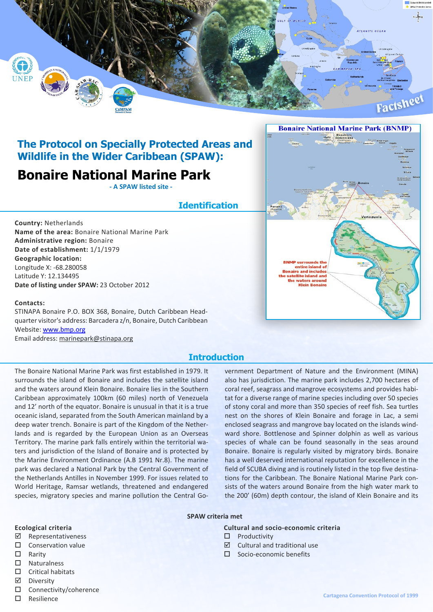

## **The Protocol on Specially Protected Areas and Wildlife in the Wider Caribbean (SPAW):**

# **Bonaire National Marine Park**

**- A SPAW listed site -**

## **Identification**

**Country:** Netherlands

**Name of the area:** Bonaire National Marine Park **Administrative region:** Bonaire **Date of establishment:** 1/1/1979 **Geographic location:** Longitude X: -68.280058 Latitude Y: 12.134495 **Date of listing under SPAW:** 23 October 2012

### **Contacts:**

STINAPA Bonaire P.O. BOX 368, Bonaire, Dutch Caribbean Headquarter visitor's address: Barcadera z/n, Bonaire, Dutch Caribbean Website: [www.bmp.org](http://www.bmp.org) Email address: marinepark@stinapa.org

## **Introduction**

The Bonaire National Marine Park was first established in 1979. It surrounds the island of Bonaire and includes the satellite island and the waters around Klein Bonaire. Bonaire lies in the Southern Caribbean approximately 100km (60 miles) north of Venezuela and 12' north of the equator. Bonaire is unusual in that it is a true oceanic island, separated from the South American mainland by a deep water trench. Bonaire is part of the Kingdom of the Netherlands and is regarded by the European Union as an Overseas Territory. The marine park falls entirely within the territorial waters and jurisdiction of the Island of Bonaire and is protected by the Marine Environment Ordinance (A.B 1991 Nr.8). The marine park was declared a National Park by the Central Government of the Netherlands Antilles in November 1999. For issues related to World Heritage, Ramsar wetlands, threatened and endangered species, migratory species and marine pollution the Central Government Department of Nature and the Environment (MINA) also has jurisdiction. The marine park includes 2,700 hectares of coral reef, seagrass and mangrove ecosystems and provides habitat for a diverse range of marine species including over 50 species of stony coral and more than 350 species of reef fish. Sea turtles nest on the shores of Klein Bonaire and forage in Lac, a semi enclosed seagrass and mangrove bay located on the islands windward shore. Bottlenose and Spinner dolphin as well as various species of whale can be found seasonally in the seas around Bonaire. Bonaire is regularly visited by migratory birds. Bonaire has a well deserved international reputation for excellence in the field of SCUBA diving and is routinely listed in the top five destinations for the Caribbean. The Bonaire National Marine Park consists of the waters around Bonaire from the high water mark to the 200' (60m) depth contour, the island of Klein Bonaire and its

#### **SPAW criteria met**

#### **Ecological criteria**

- ˛ Representativeness
- $\square$  Conservation value
- $\Box$  Rarity
- $\square$  Naturalness
- $\square$  Critical habitats
- ˛ Diversity
- $\Box$  Connectivity/coherence
- $\square$  Resilience

### **Cultural and socio-economic criteria**

- $\square$  Productivity
- $\boxtimes$  Cultural and traditional use
- $\Pi$  Socio-economic benefits